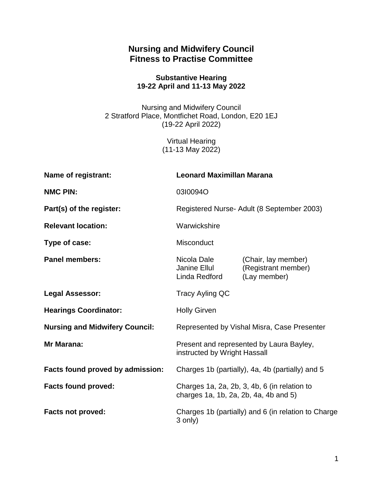# **Nursing and Midwifery Council Fitness to Practise Committee**

#### **Substantive Hearing 19-22 April and 11-13 May 2022**

Nursing and Midwifery Council 2 Stratford Place, Montfichet Road, London, E20 1EJ (19-22 April 2022)

> Virtual Hearing (11-13 May 2022)

| <b>Name of registrant:</b>            | <b>Leonard Maximillan Marana</b>                                                      |                                                            |
|---------------------------------------|---------------------------------------------------------------------------------------|------------------------------------------------------------|
| <b>NMC PIN:</b>                       | 03I0094O                                                                              |                                                            |
| Part(s) of the register:              | Registered Nurse- Adult (8 September 2003)                                            |                                                            |
| <b>Relevant location:</b>             | Warwickshire                                                                          |                                                            |
| Type of case:                         | Misconduct                                                                            |                                                            |
| <b>Panel members:</b>                 | Nicola Dale<br>Janine Ellul<br>Linda Redford                                          | (Chair, lay member)<br>(Registrant member)<br>(Lay member) |
| <b>Legal Assessor:</b>                | Tracy Ayling QC                                                                       |                                                            |
| <b>Hearings Coordinator:</b>          | <b>Holly Girven</b>                                                                   |                                                            |
| <b>Nursing and Midwifery Council:</b> |                                                                                       | Represented by Vishal Misra, Case Presenter                |
| Mr Marana:                            | instructed by Wright Hassall                                                          | Present and represented by Laura Bayley,                   |
| Facts found proved by admission:      | Charges 1b (partially), 4a, 4b (partially) and 5                                      |                                                            |
| <b>Facts found proved:</b>            | Charges 1a, 2a, 2b, 3, 4b, 6 (in relation to<br>charges 1a, 1b, 2a, 2b, 4a, 4b and 5) |                                                            |
| <b>Facts not proved:</b>              | Charges 1b (partially) and 6 (in relation to Charge<br>3 only)                        |                                                            |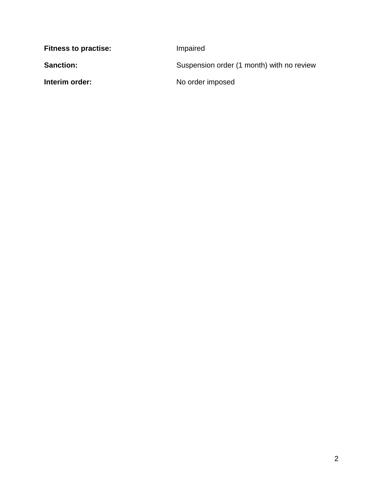| <b>Fitness to practise:</b> | Impaired                                  |
|-----------------------------|-------------------------------------------|
| <b>Sanction:</b>            | Suspension order (1 month) with no review |
| Interim order:              | No order imposed                          |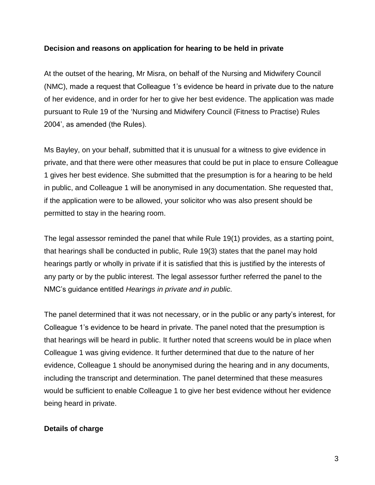#### **Decision and reasons on application for hearing to be held in private**

At the outset of the hearing, Mr Misra, on behalf of the Nursing and Midwifery Council (NMC), made a request that Colleague 1's evidence be heard in private due to the nature of her evidence, and in order for her to give her best evidence. The application was made pursuant to Rule 19 of the 'Nursing and Midwifery Council (Fitness to Practise) Rules 2004', as amended (the Rules).

Ms Bayley, on your behalf, submitted that it is unusual for a witness to give evidence in private, and that there were other measures that could be put in place to ensure Colleague 1 gives her best evidence. She submitted that the presumption is for a hearing to be held in public, and Colleague 1 will be anonymised in any documentation. She requested that, if the application were to be allowed, your solicitor who was also present should be permitted to stay in the hearing room.

The legal assessor reminded the panel that while Rule 19(1) provides, as a starting point, that hearings shall be conducted in public, Rule 19(3) states that the panel may hold hearings partly or wholly in private if it is satisfied that this is justified by the interests of any party or by the public interest. The legal assessor further referred the panel to the NMC's guidance entitled *Hearings in private and in public.*

The panel determined that it was not necessary, or in the public or any party's interest, for Colleague 1's evidence to be heard in private. The panel noted that the presumption is that hearings will be heard in public. It further noted that screens would be in place when Colleague 1 was giving evidence. It further determined that due to the nature of her evidence, Colleague 1 should be anonymised during the hearing and in any documents, including the transcript and determination. The panel determined that these measures would be sufficient to enable Colleague 1 to give her best evidence without her evidence being heard in private.

### **Details of charge**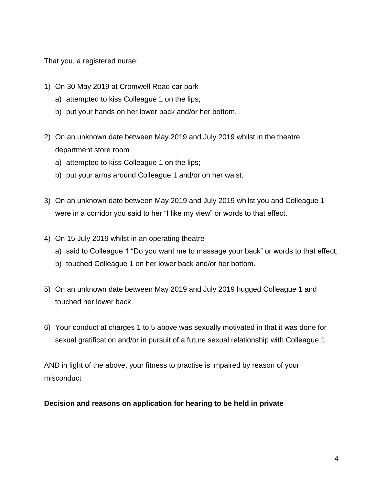That you, a registered nurse:

- 1) On 30 May 2019 at Cromwell Road car park
	- a) attempted to kiss Colleague 1 on the lips;
	- b) put your hands on her lower back and/or her bottom.
- 2) On an unknown date between May 2019 and July 2019 whilst in the theatre department store room
	- a) attempted to kiss Colleague 1 on the lips;
	- b) put your arms around Colleague 1 and/or on her waist.
- 3) On an unknown date between May 2019 and July 2019 whilst you and Colleague 1 were in a corridor you said to her "I like my view" or words to that effect.
- 4) On 15 July 2019 whilst in an operating theatre
	- a) said to Colleague 1 "Do you want me to massage your back" or words to that effect;
	- b) touched Colleague 1 on her lower back and/or her bottom.
- 5) On an unknown date between May 2019 and July 2019 hugged Colleague 1 and touched her lower back.
- 6) Your conduct at charges 1 to 5 above was sexually motivated in that it was done for sexual gratification and/or in pursuit of a future sexual relationship with Colleague 1.

AND in light of the above, your fitness to practise is impaired by reason of your misconduct

### **Decision and reasons on application for hearing to be held in private**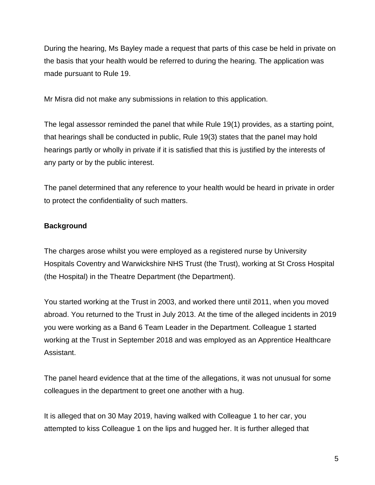During the hearing, Ms Bayley made a request that parts of this case be held in private on the basis that your health would be referred to during the hearing. The application was made pursuant to Rule 19.

Mr Misra did not make any submissions in relation to this application.

The legal assessor reminded the panel that while Rule 19(1) provides, as a starting point, that hearings shall be conducted in public, Rule 19(3) states that the panel may hold hearings partly or wholly in private if it is satisfied that this is justified by the interests of any party or by the public interest.

The panel determined that any reference to your health would be heard in private in order to protect the confidentiality of such matters.

### **Background**

The charges arose whilst you were employed as a registered nurse by University Hospitals Coventry and Warwickshire NHS Trust (the Trust), working at St Cross Hospital (the Hospital) in the Theatre Department (the Department).

You started working at the Trust in 2003, and worked there until 2011, when you moved abroad. You returned to the Trust in July 2013. At the time of the alleged incidents in 2019 you were working as a Band 6 Team Leader in the Department. Colleague 1 started working at the Trust in September 2018 and was employed as an Apprentice Healthcare Assistant.

The panel heard evidence that at the time of the allegations, it was not unusual for some colleagues in the department to greet one another with a hug.

It is alleged that on 30 May 2019, having walked with Colleague 1 to her car, you attempted to kiss Colleague 1 on the lips and hugged her. It is further alleged that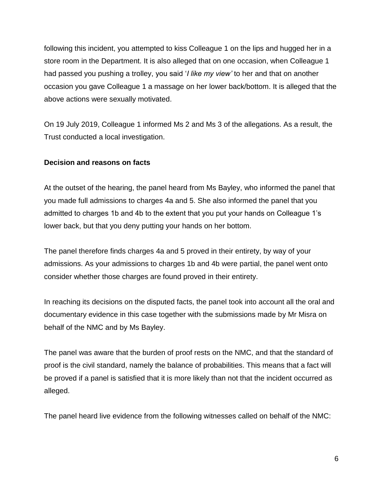following this incident, you attempted to kiss Colleague 1 on the lips and hugged her in a store room in the Department. It is also alleged that on one occasion, when Colleague 1 had passed you pushing a trolley, you said '*I like my view'* to her and that on another occasion you gave Colleague 1 a massage on her lower back/bottom. It is alleged that the above actions were sexually motivated.

On 19 July 2019, Colleague 1 informed Ms 2 and Ms 3 of the allegations. As a result, the Trust conducted a local investigation.

### **Decision and reasons on facts**

At the outset of the hearing, the panel heard from Ms Bayley, who informed the panel that you made full admissions to charges 4a and 5. She also informed the panel that you admitted to charges 1b and 4b to the extent that you put your hands on Colleague 1's lower back, but that you deny putting your hands on her bottom.

The panel therefore finds charges 4a and 5 proved in their entirety, by way of your admissions. As your admissions to charges 1b and 4b were partial, the panel went onto consider whether those charges are found proved in their entirety.

In reaching its decisions on the disputed facts, the panel took into account all the oral and documentary evidence in this case together with the submissions made by Mr Misra on behalf of the NMC and by Ms Bayley.

The panel was aware that the burden of proof rests on the NMC, and that the standard of proof is the civil standard, namely the balance of probabilities. This means that a fact will be proved if a panel is satisfied that it is more likely than not that the incident occurred as alleged.

The panel heard live evidence from the following witnesses called on behalf of the NMC: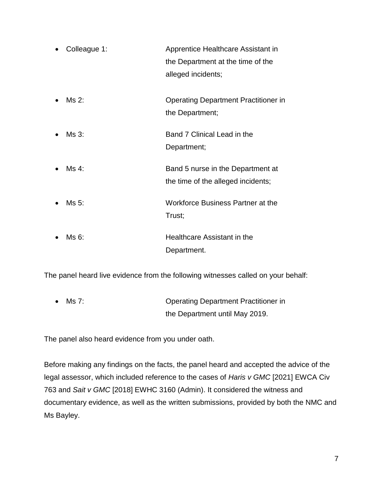| Colleague 1: | Apprentice Healthcare Assistant in<br>the Department at the time of the<br>alleged incidents; |
|--------------|-----------------------------------------------------------------------------------------------|
| Ms 2:        | <b>Operating Department Practitioner in</b><br>the Department;                                |
| Ms 3:        | Band 7 Clinical Lead in the<br>Department;                                                    |
| Ms 4:        | Band 5 nurse in the Department at<br>the time of the alleged incidents;                       |
| Ms 5:        | Workforce Business Partner at the<br>Trust;                                                   |
| Ms 6:        | Healthcare Assistant in the<br>Department.                                                    |

The panel heard live evidence from the following witnesses called on your behalf:

| $\bullet$ Ms 7: | <b>Operating Department Practitioner in</b> |
|-----------------|---------------------------------------------|
|                 | the Department until May 2019.              |

The panel also heard evidence from you under oath.

Before making any findings on the facts, the panel heard and accepted the advice of the legal assessor, which included reference to the cases of *Haris v GMC* [2021] EWCA Civ 763 and *Sait v GMC* [2018] EWHC 3160 (Admin). It considered the witness and documentary evidence, as well as the written submissions, provided by both the NMC and Ms Bayley.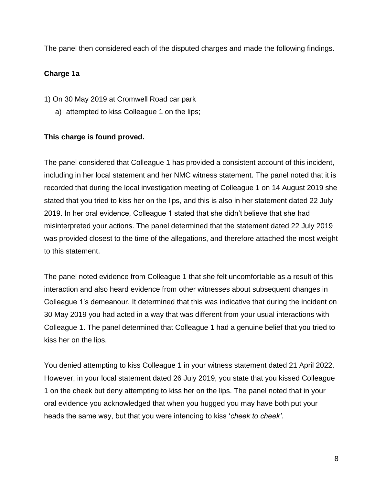The panel then considered each of the disputed charges and made the following findings.

#### **Charge 1a**

- 1) On 30 May 2019 at Cromwell Road car park
	- a) attempted to kiss Colleague 1 on the lips;

#### **This charge is found proved.**

The panel considered that Colleague 1 has provided a consistent account of this incident, including in her local statement and her NMC witness statement. The panel noted that it is recorded that during the local investigation meeting of Colleague 1 on 14 August 2019 she stated that you tried to kiss her on the lips, and this is also in her statement dated 22 July 2019. In her oral evidence, Colleague 1 stated that she didn't believe that she had misinterpreted your actions. The panel determined that the statement dated 22 July 2019 was provided closest to the time of the allegations, and therefore attached the most weight to this statement.

The panel noted evidence from Colleague 1 that she felt uncomfortable as a result of this interaction and also heard evidence from other witnesses about subsequent changes in Colleague 1's demeanour. It determined that this was indicative that during the incident on 30 May 2019 you had acted in a way that was different from your usual interactions with Colleague 1. The panel determined that Colleague 1 had a genuine belief that you tried to kiss her on the lips.

You denied attempting to kiss Colleague 1 in your witness statement dated 21 April 2022. However, in your local statement dated 26 July 2019, you state that you kissed Colleague 1 on the cheek but deny attempting to kiss her on the lips. The panel noted that in your oral evidence you acknowledged that when you hugged you may have both put your heads the same way, but that you were intending to kiss '*cheek to cheek'*.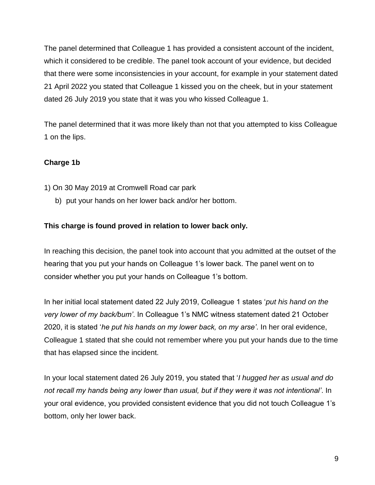The panel determined that Colleague 1 has provided a consistent account of the incident, which it considered to be credible. The panel took account of your evidence, but decided that there were some inconsistencies in your account, for example in your statement dated 21 April 2022 you stated that Colleague 1 kissed you on the cheek, but in your statement dated 26 July 2019 you state that it was you who kissed Colleague 1.

The panel determined that it was more likely than not that you attempted to kiss Colleague 1 on the lips.

# **Charge 1b**

- 1) On 30 May 2019 at Cromwell Road car park
	- b) put your hands on her lower back and/or her bottom.

#### **This charge is found proved in relation to lower back only.**

In reaching this decision, the panel took into account that you admitted at the outset of the hearing that you put your hands on Colleague 1's lower back. The panel went on to consider whether you put your hands on Colleague 1's bottom.

In her initial local statement dated 22 July 2019, Colleague 1 states '*put his hand on the very lower of my back/bum'*. In Colleague 1's NMC witness statement dated 21 October 2020, it is stated '*he put his hands on my lower back, on my arse'*. In her oral evidence, Colleague 1 stated that she could not remember where you put your hands due to the time that has elapsed since the incident.

In your local statement dated 26 July 2019, you stated that '*I hugged her as usual and do not recall my hands being any lower than usual, but if they were it was not intentional'*. In your oral evidence, you provided consistent evidence that you did not touch Colleague 1's bottom, only her lower back.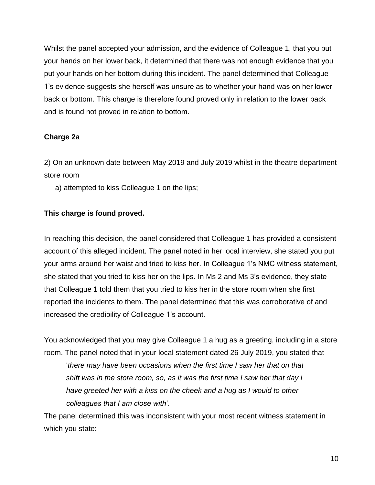Whilst the panel accepted your admission, and the evidence of Colleague 1, that you put your hands on her lower back, it determined that there was not enough evidence that you put your hands on her bottom during this incident. The panel determined that Colleague 1's evidence suggests she herself was unsure as to whether your hand was on her lower back or bottom. This charge is therefore found proved only in relation to the lower back and is found not proved in relation to bottom.

### **Charge 2a**

2) On an unknown date between May 2019 and July 2019 whilst in the theatre department store room

a) attempted to kiss Colleague 1 on the lips;

# **This charge is found proved.**

In reaching this decision, the panel considered that Colleague 1 has provided a consistent account of this alleged incident. The panel noted in her local interview, she stated you put your arms around her waist and tried to kiss her. In Colleague 1's NMC witness statement, she stated that you tried to kiss her on the lips. In Ms 2 and Ms 3's evidence, they state that Colleague 1 told them that you tried to kiss her in the store room when she first reported the incidents to them. The panel determined that this was corroborative of and increased the credibility of Colleague 1's account.

You acknowledged that you may give Colleague 1 a hug as a greeting, including in a store room. The panel noted that in your local statement dated 26 July 2019, you stated that '*there may have been occasions when the first time I saw her that on that shift was in the store room, so, as it was the first time I saw her that day I have greeted her with a kiss on the cheek and a hug as I would to other colleagues that I am close with'*.

The panel determined this was inconsistent with your most recent witness statement in which you state: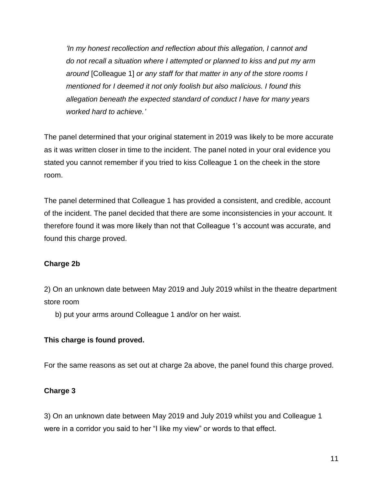*'In my honest recollection and reflection about this allegation, I cannot and do not recall a situation where I attempted or planned to kiss and put my arm around* [Colleague 1] *or any staff for that matter in any of the store rooms I mentioned for I deemed it not only foolish but also malicious. I found this allegation beneath the expected standard of conduct I have for many years worked hard to achieve.'*

The panel determined that your original statement in 2019 was likely to be more accurate as it was written closer in time to the incident. The panel noted in your oral evidence you stated you cannot remember if you tried to kiss Colleague 1 on the cheek in the store room.

The panel determined that Colleague 1 has provided a consistent, and credible, account of the incident. The panel decided that there are some inconsistencies in your account. It therefore found it was more likely than not that Colleague 1's account was accurate, and found this charge proved.

# **Charge 2b**

2) On an unknown date between May 2019 and July 2019 whilst in the theatre department store room

b) put your arms around Colleague 1 and/or on her waist.

### **This charge is found proved.**

For the same reasons as set out at charge 2a above, the panel found this charge proved.

# **Charge 3**

3) On an unknown date between May 2019 and July 2019 whilst you and Colleague 1 were in a corridor you said to her "I like my view" or words to that effect.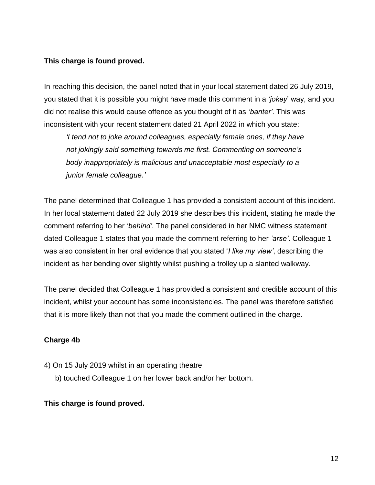#### **This charge is found proved.**

In reaching this decision, the panel noted that in your local statement dated 26 July 2019, you stated that it is possible you might have made this comment in a *'jokey*' way, and you did not realise this would cause offence as you thought of it as *'banter'*. This was inconsistent with your recent statement dated 21 April 2022 in which you state:

*'I tend not to joke around colleagues, especially female ones, if they have not jokingly said something towards me first. Commenting on someone's body inappropriately is malicious and unacceptable most especially to a junior female colleague.'*

The panel determined that Colleague 1 has provided a consistent account of this incident. In her local statement dated 22 July 2019 she describes this incident, stating he made the comment referring to her '*behind'*. The panel considered in her NMC witness statement dated Colleague 1 states that you made the comment referring to her *'arse'*. Colleague 1 was also consistent in her oral evidence that you stated '*I like my view'*, describing the incident as her bending over slightly whilst pushing a trolley up a slanted walkway.

The panel decided that Colleague 1 has provided a consistent and credible account of this incident, whilst your account has some inconsistencies. The panel was therefore satisfied that it is more likely than not that you made the comment outlined in the charge.

### **Charge 4b**

- 4) On 15 July 2019 whilst in an operating theatre
	- b) touched Colleague 1 on her lower back and/or her bottom.

### **This charge is found proved.**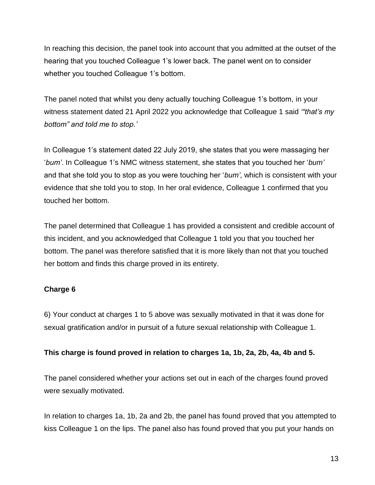In reaching this decision, the panel took into account that you admitted at the outset of the hearing that you touched Colleague 1's lower back. The panel went on to consider whether you touched Colleague 1's bottom.

The panel noted that whilst you deny actually touching Colleague 1's bottom, in your witness statement dated 21 April 2022 you acknowledge that Colleague 1 said *'"that's my bottom" and told me to stop.'*

In Colleague 1's statement dated 22 July 2019, she states that you were massaging her '*bum'*. In Colleague 1's NMC witness statement, she states that you touched her '*bum'* and that she told you to stop as you were touching her '*bum'*, which is consistent with your evidence that she told you to stop. In her oral evidence, Colleague 1 confirmed that you touched her bottom.

The panel determined that Colleague 1 has provided a consistent and credible account of this incident, and you acknowledged that Colleague 1 told you that you touched her bottom. The panel was therefore satisfied that it is more likely than not that you touched her bottom and finds this charge proved in its entirety.

# **Charge 6**

6) Your conduct at charges 1 to 5 above was sexually motivated in that it was done for sexual gratification and/or in pursuit of a future sexual relationship with Colleague 1.

**This charge is found proved in relation to charges 1a, 1b, 2a, 2b, 4a, 4b and 5.**

The panel considered whether your actions set out in each of the charges found proved were sexually motivated.

In relation to charges 1a, 1b, 2a and 2b, the panel has found proved that you attempted to kiss Colleague 1 on the lips. The panel also has found proved that you put your hands on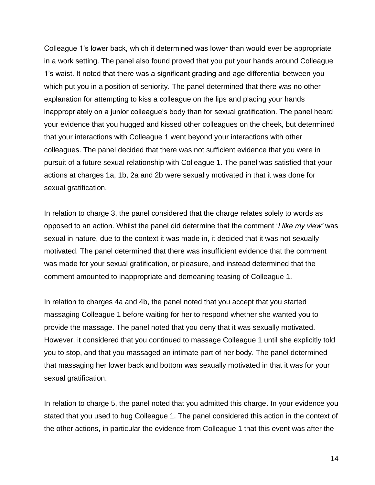Colleague 1's lower back, which it determined was lower than would ever be appropriate in a work setting. The panel also found proved that you put your hands around Colleague 1's waist. It noted that there was a significant grading and age differential between you which put you in a position of seniority. The panel determined that there was no other explanation for attempting to kiss a colleague on the lips and placing your hands inappropriately on a junior colleague's body than for sexual gratification. The panel heard your evidence that you hugged and kissed other colleagues on the cheek, but determined that your interactions with Colleague 1 went beyond your interactions with other colleagues. The panel decided that there was not sufficient evidence that you were in pursuit of a future sexual relationship with Colleague 1. The panel was satisfied that your actions at charges 1a, 1b, 2a and 2b were sexually motivated in that it was done for sexual gratification.

In relation to charge 3, the panel considered that the charge relates solely to words as opposed to an action. Whilst the panel did determine that the comment '*I like my view'* was sexual in nature, due to the context it was made in, it decided that it was not sexually motivated. The panel determined that there was insufficient evidence that the comment was made for your sexual gratification, or pleasure, and instead determined that the comment amounted to inappropriate and demeaning teasing of Colleague 1.

In relation to charges 4a and 4b, the panel noted that you accept that you started massaging Colleague 1 before waiting for her to respond whether she wanted you to provide the massage. The panel noted that you deny that it was sexually motivated. However, it considered that you continued to massage Colleague 1 until she explicitly told you to stop, and that you massaged an intimate part of her body. The panel determined that massaging her lower back and bottom was sexually motivated in that it was for your sexual gratification.

In relation to charge 5, the panel noted that you admitted this charge. In your evidence you stated that you used to hug Colleague 1. The panel considered this action in the context of the other actions, in particular the evidence from Colleague 1 that this event was after the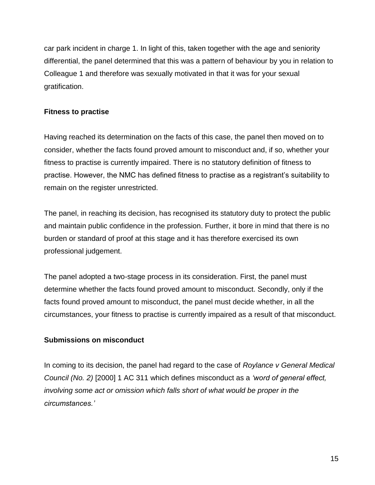car park incident in charge 1. In light of this, taken together with the age and seniority differential, the panel determined that this was a pattern of behaviour by you in relation to Colleague 1 and therefore was sexually motivated in that it was for your sexual gratification.

### **Fitness to practise**

Having reached its determination on the facts of this case, the panel then moved on to consider, whether the facts found proved amount to misconduct and, if so, whether your fitness to practise is currently impaired. There is no statutory definition of fitness to practise. However, the NMC has defined fitness to practise as a registrant's suitability to remain on the register unrestricted.

The panel, in reaching its decision, has recognised its statutory duty to protect the public and maintain public confidence in the profession. Further, it bore in mind that there is no burden or standard of proof at this stage and it has therefore exercised its own professional judgement.

The panel adopted a two-stage process in its consideration. First, the panel must determine whether the facts found proved amount to misconduct. Secondly, only if the facts found proved amount to misconduct, the panel must decide whether, in all the circumstances, your fitness to practise is currently impaired as a result of that misconduct.

# **Submissions on misconduct**

In coming to its decision, the panel had regard to the case of *Roylance v General Medical Council (No. 2)* [2000] 1 AC 311 which defines misconduct as a *'word of general effect, involving some act or omission which falls short of what would be proper in the circumstances.'*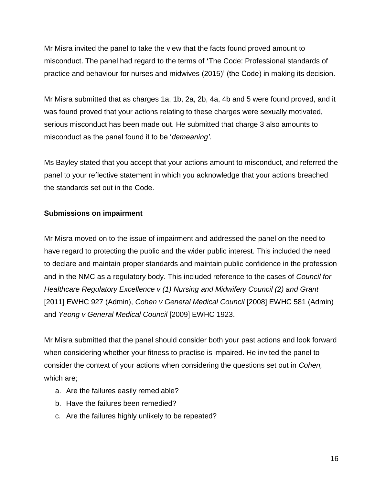Mr Misra invited the panel to take the view that the facts found proved amount to misconduct. The panel had regard to the terms of **'**The Code: Professional standards of practice and behaviour for nurses and midwives (2015)' (the Code) in making its decision.

Mr Misra submitted that as charges 1a, 1b, 2a, 2b, 4a, 4b and 5 were found proved, and it was found proved that your actions relating to these charges were sexually motivated, serious misconduct has been made out. He submitted that charge 3 also amounts to misconduct as the panel found it to be '*demeaning'*.

Ms Bayley stated that you accept that your actions amount to misconduct, and referred the panel to your reflective statement in which you acknowledge that your actions breached the standards set out in the Code.

### **Submissions on impairment**

Mr Misra moved on to the issue of impairment and addressed the panel on the need to have regard to protecting the public and the wider public interest. This included the need to declare and maintain proper standards and maintain public confidence in the profession and in the NMC as a regulatory body. This included reference to the cases of *Council for Healthcare Regulatory Excellence v (1) Nursing and Midwifery Council (2) and Grant*  [2011] EWHC 927 (Admin), *Cohen v General Medical Council* [2008] EWHC 581 (Admin) and *Yeong v General Medical Council* [2009] EWHC 1923.

Mr Misra submitted that the panel should consider both your past actions and look forward when considering whether your fitness to practise is impaired. He invited the panel to consider the context of your actions when considering the questions set out in *Cohen,*  which are;

- a. Are the failures easily remediable?
- b. Have the failures been remedied?
- c. Are the failures highly unlikely to be repeated?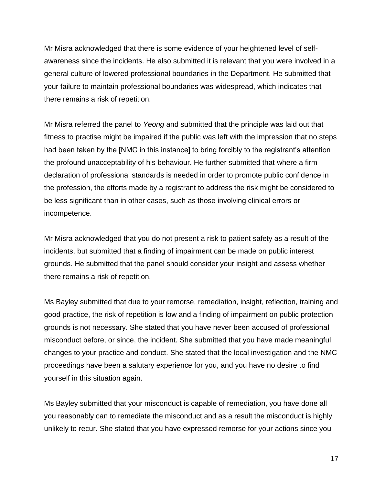Mr Misra acknowledged that there is some evidence of your heightened level of selfawareness since the incidents. He also submitted it is relevant that you were involved in a general culture of lowered professional boundaries in the Department. He submitted that your failure to maintain professional boundaries was widespread, which indicates that there remains a risk of repetition.

Mr Misra referred the panel to *Yeong* and submitted that the principle was laid out that fitness to practise might be impaired if the public was left with the impression that no steps had been taken by the [NMC in this instance] to bring forcibly to the registrant's attention the profound unacceptability of his behaviour. He further submitted that where a firm declaration of professional standards is needed in order to promote public confidence in the profession, the efforts made by a registrant to address the risk might be considered to be less significant than in other cases, such as those involving clinical errors or incompetence.

Mr Misra acknowledged that you do not present a risk to patient safety as a result of the incidents, but submitted that a finding of impairment can be made on public interest grounds. He submitted that the panel should consider your insight and assess whether there remains a risk of repetition.

Ms Bayley submitted that due to your remorse, remediation, insight, reflection, training and good practice, the risk of repetition is low and a finding of impairment on public protection grounds is not necessary. She stated that you have never been accused of professional misconduct before, or since, the incident. She submitted that you have made meaningful changes to your practice and conduct. She stated that the local investigation and the NMC proceedings have been a salutary experience for you, and you have no desire to find yourself in this situation again.

Ms Bayley submitted that your misconduct is capable of remediation, you have done all you reasonably can to remediate the misconduct and as a result the misconduct is highly unlikely to recur. She stated that you have expressed remorse for your actions since you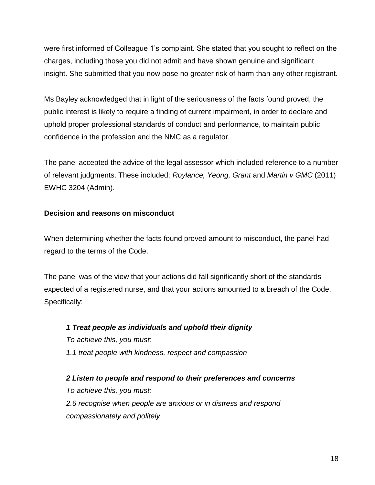were first informed of Colleague 1's complaint. She stated that you sought to reflect on the charges, including those you did not admit and have shown genuine and significant insight. She submitted that you now pose no greater risk of harm than any other registrant.

Ms Bayley acknowledged that in light of the seriousness of the facts found proved, the public interest is likely to require a finding of current impairment, in order to declare and uphold proper professional standards of conduct and performance, to maintain public confidence in the profession and the NMC as a regulator.

The panel accepted the advice of the legal assessor which included reference to a number of relevant judgments. These included: *Roylance, Yeong, Grant* and *Martin v GMC* (2011) EWHC 3204 (Admin).

# **Decision and reasons on misconduct**

When determining whether the facts found proved amount to misconduct, the panel had regard to the terms of the Code.

The panel was of the view that your actions did fall significantly short of the standards expected of a registered nurse, and that your actions amounted to a breach of the Code. Specifically:

# *1 Treat people as individuals and uphold their dignity*

*To achieve this, you must: 1.1 treat people with kindness, respect and compassion*

*2 Listen to people and respond to their preferences and concerns To achieve this, you must: 2.6 recognise when people are anxious or in distress and respond compassionately and politely*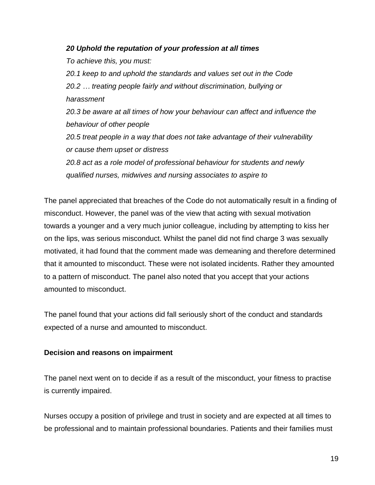#### *20 Uphold the reputation of your profession at all times*

*To achieve this, you must: 20.1 keep to and uphold the standards and values set out in the Code 20.2 … treating people fairly and without discrimination, bullying or harassment 20.3 be aware at all times of how your behaviour can affect and influence the behaviour of other people 20.5 treat people in a way that does not take advantage of their vulnerability or cause them upset or distress 20.8 act as a role model of professional behaviour for students and newly qualified nurses, midwives and nursing associates to aspire to*

The panel appreciated that breaches of the Code do not automatically result in a finding of misconduct. However, the panel was of the view that acting with sexual motivation towards a younger and a very much junior colleague, including by attempting to kiss her on the lips, was serious misconduct. Whilst the panel did not find charge 3 was sexually motivated, it had found that the comment made was demeaning and therefore determined that it amounted to misconduct. These were not isolated incidents. Rather they amounted to a pattern of misconduct. The panel also noted that you accept that your actions amounted to misconduct.

The panel found that your actions did fall seriously short of the conduct and standards expected of a nurse and amounted to misconduct.

### **Decision and reasons on impairment**

The panel next went on to decide if as a result of the misconduct, your fitness to practise is currently impaired.

Nurses occupy a position of privilege and trust in society and are expected at all times to be professional and to maintain professional boundaries. Patients and their families must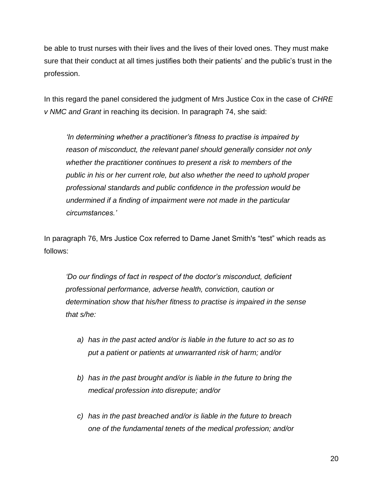be able to trust nurses with their lives and the lives of their loved ones. They must make sure that their conduct at all times justifies both their patients' and the public's trust in the profession.

In this regard the panel considered the judgment of Mrs Justice Cox in the case of *CHRE v NMC and Grant* in reaching its decision. In paragraph 74, she said:

*'In determining whether a practitioner's fitness to practise is impaired by reason of misconduct, the relevant panel should generally consider not only whether the practitioner continues to present a risk to members of the public in his or her current role, but also whether the need to uphold proper professional standards and public confidence in the profession would be undermined if a finding of impairment were not made in the particular circumstances.'*

In paragraph 76, Mrs Justice Cox referred to Dame Janet Smith's "test" which reads as follows:

*'Do our findings of fact in respect of the doctor's misconduct, deficient professional performance, adverse health, conviction, caution or determination show that his/her fitness to practise is impaired in the sense that s/he:*

- *a) has in the past acted and/or is liable in the future to act so as to put a patient or patients at unwarranted risk of harm; and/or*
- *b) has in the past brought and/or is liable in the future to bring the medical profession into disrepute; and/or*
- *c) has in the past breached and/or is liable in the future to breach one of the fundamental tenets of the medical profession; and/or*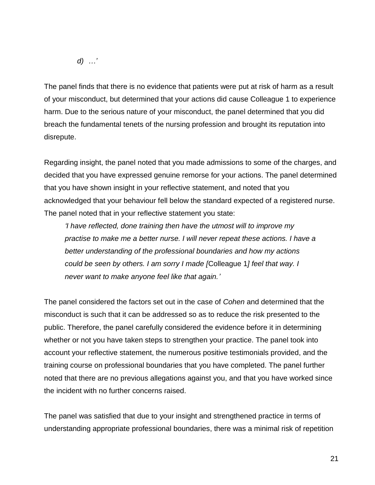*d) …'*

The panel finds that there is no evidence that patients were put at risk of harm as a result of your misconduct, but determined that your actions did cause Colleague 1 to experience harm. Due to the serious nature of your misconduct, the panel determined that you did breach the fundamental tenets of the nursing profession and brought its reputation into disrepute.

Regarding insight, the panel noted that you made admissions to some of the charges, and decided that you have expressed genuine remorse for your actions. The panel determined that you have shown insight in your reflective statement, and noted that you acknowledged that your behaviour fell below the standard expected of a registered nurse. The panel noted that in your reflective statement you state:

*'I have reflected, done training then have the utmost will to improve my practise to make me a better nurse. I will never repeat these actions. I have a better understanding of the professional boundaries and how my actions could be seen by others. I am sorry I made [*Colleague 1*] feel that way. I never want to make anyone feel like that again.'*

The panel considered the factors set out in the case of *Cohen* and determined that the misconduct is such that it can be addressed so as to reduce the risk presented to the public. Therefore, the panel carefully considered the evidence before it in determining whether or not you have taken steps to strengthen your practice. The panel took into account your reflective statement, the numerous positive testimonials provided, and the training course on professional boundaries that you have completed. The panel further noted that there are no previous allegations against you, and that you have worked since the incident with no further concerns raised.

The panel was satisfied that due to your insight and strengthened practice in terms of understanding appropriate professional boundaries, there was a minimal risk of repetition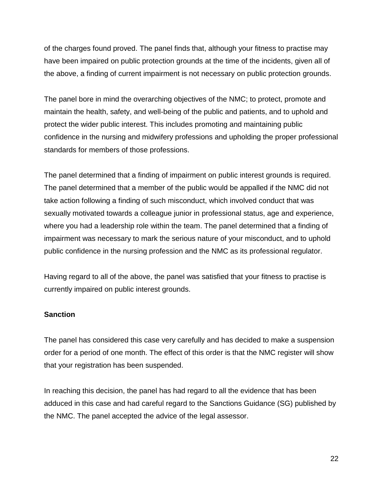of the charges found proved. The panel finds that, although your fitness to practise may have been impaired on public protection grounds at the time of the incidents, given all of the above, a finding of current impairment is not necessary on public protection grounds.

The panel bore in mind the overarching objectives of the NMC; to protect, promote and maintain the health, safety, and well-being of the public and patients, and to uphold and protect the wider public interest. This includes promoting and maintaining public confidence in the nursing and midwifery professions and upholding the proper professional standards for members of those professions.

The panel determined that a finding of impairment on public interest grounds is required. The panel determined that a member of the public would be appalled if the NMC did not take action following a finding of such misconduct, which involved conduct that was sexually motivated towards a colleague junior in professional status, age and experience, where you had a leadership role within the team. The panel determined that a finding of impairment was necessary to mark the serious nature of your misconduct, and to uphold public confidence in the nursing profession and the NMC as its professional regulator.

Having regard to all of the above, the panel was satisfied that your fitness to practise is currently impaired on public interest grounds.

### **Sanction**

The panel has considered this case very carefully and has decided to make a suspension order for a period of one month. The effect of this order is that the NMC register will show that your registration has been suspended.

In reaching this decision, the panel has had regard to all the evidence that has been adduced in this case and had careful regard to the Sanctions Guidance (SG) published by the NMC. The panel accepted the advice of the legal assessor.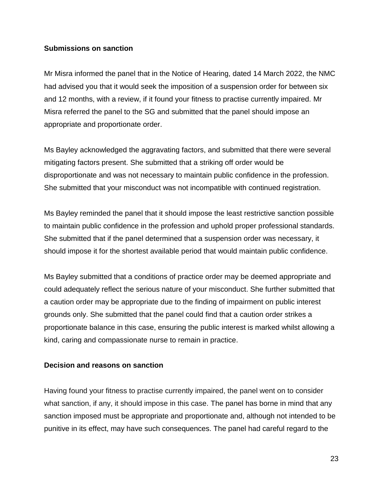#### **Submissions on sanction**

Mr Misra informed the panel that in the Notice of Hearing, dated 14 March 2022, the NMC had advised you that it would seek the imposition of a suspension order for between six and 12 months, with a review, if it found your fitness to practise currently impaired. Mr Misra referred the panel to the SG and submitted that the panel should impose an appropriate and proportionate order.

Ms Bayley acknowledged the aggravating factors, and submitted that there were several mitigating factors present. She submitted that a striking off order would be disproportionate and was not necessary to maintain public confidence in the profession. She submitted that your misconduct was not incompatible with continued registration.

Ms Bayley reminded the panel that it should impose the least restrictive sanction possible to maintain public confidence in the profession and uphold proper professional standards. She submitted that if the panel determined that a suspension order was necessary, it should impose it for the shortest available period that would maintain public confidence.

Ms Bayley submitted that a conditions of practice order may be deemed appropriate and could adequately reflect the serious nature of your misconduct. She further submitted that a caution order may be appropriate due to the finding of impairment on public interest grounds only. She submitted that the panel could find that a caution order strikes a proportionate balance in this case, ensuring the public interest is marked whilst allowing a kind, caring and compassionate nurse to remain in practice.

### **Decision and reasons on sanction**

Having found your fitness to practise currently impaired, the panel went on to consider what sanction, if any, it should impose in this case. The panel has borne in mind that any sanction imposed must be appropriate and proportionate and, although not intended to be punitive in its effect, may have such consequences. The panel had careful regard to the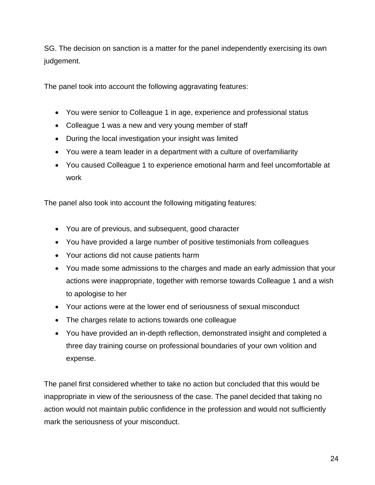SG. The decision on sanction is a matter for the panel independently exercising its own judgement.

The panel took into account the following aggravating features:

- You were senior to Colleague 1 in age, experience and professional status
- Colleague 1 was a new and very young member of staff
- During the local investigation your insight was limited
- You were a team leader in a department with a culture of overfamiliarity
- You caused Colleague 1 to experience emotional harm and feel uncomfortable at work

The panel also took into account the following mitigating features:

- You are of previous, and subsequent, good character
- You have provided a large number of positive testimonials from colleagues
- Your actions did not cause patients harm
- You made some admissions to the charges and made an early admission that your actions were inappropriate, together with remorse towards Colleague 1 and a wish to apologise to her
- Your actions were at the lower end of seriousness of sexual misconduct
- The charges relate to actions towards one colleague
- You have provided an in-depth reflection, demonstrated insight and completed a three day training course on professional boundaries of your own volition and expense.

The panel first considered whether to take no action but concluded that this would be inappropriate in view of the seriousness of the case. The panel decided that taking no action would not maintain public confidence in the profession and would not sufficiently mark the seriousness of your misconduct.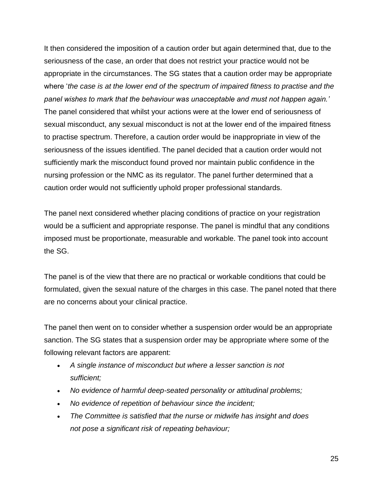It then considered the imposition of a caution order but again determined that, due to the seriousness of the case, an order that does not restrict your practice would not be appropriate in the circumstances. The SG states that a caution order may be appropriate where '*the case is at the lower end of the spectrum of impaired fitness to practise and the panel wishes to mark that the behaviour was unacceptable and must not happen again.'* The panel considered that whilst your actions were at the lower end of seriousness of sexual misconduct, any sexual misconduct is not at the lower end of the impaired fitness to practise spectrum. Therefore, a caution order would be inappropriate in view of the seriousness of the issues identified. The panel decided that a caution order would not sufficiently mark the misconduct found proved nor maintain public confidence in the nursing profession or the NMC as its regulator. The panel further determined that a caution order would not sufficiently uphold proper professional standards.

The panel next considered whether placing conditions of practice on your registration would be a sufficient and appropriate response. The panel is mindful that any conditions imposed must be proportionate, measurable and workable. The panel took into account the SG.

The panel is of the view that there are no practical or workable conditions that could be formulated, given the sexual nature of the charges in this case. The panel noted that there are no concerns about your clinical practice.

The panel then went on to consider whether a suspension order would be an appropriate sanction. The SG states that a suspension order may be appropriate where some of the following relevant factors are apparent:

- *A single instance of misconduct but where a lesser sanction is not sufficient;*
- *No evidence of harmful deep-seated personality or attitudinal problems;*
- *No evidence of repetition of behaviour since the incident;*
- *The Committee is satisfied that the nurse or midwife has insight and does not pose a significant risk of repeating behaviour;*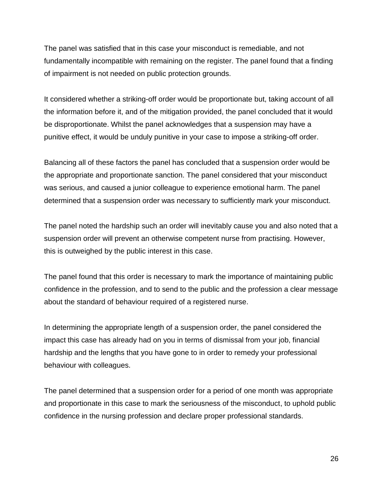The panel was satisfied that in this case your misconduct is remediable, and not fundamentally incompatible with remaining on the register. The panel found that a finding of impairment is not needed on public protection grounds.

It considered whether a striking-off order would be proportionate but, taking account of all the information before it, and of the mitigation provided, the panel concluded that it would be disproportionate. Whilst the panel acknowledges that a suspension may have a punitive effect, it would be unduly punitive in your case to impose a striking-off order.

Balancing all of these factors the panel has concluded that a suspension order would be the appropriate and proportionate sanction. The panel considered that your misconduct was serious, and caused a junior colleague to experience emotional harm. The panel determined that a suspension order was necessary to sufficiently mark your misconduct.

The panel noted the hardship such an order will inevitably cause you and also noted that a suspension order will prevent an otherwise competent nurse from practising. However, this is outweighed by the public interest in this case.

The panel found that this order is necessary to mark the importance of maintaining public confidence in the profession, and to send to the public and the profession a clear message about the standard of behaviour required of a registered nurse.

In determining the appropriate length of a suspension order, the panel considered the impact this case has already had on you in terms of dismissal from your job, financial hardship and the lengths that you have gone to in order to remedy your professional behaviour with colleagues.

The panel determined that a suspension order for a period of one month was appropriate and proportionate in this case to mark the seriousness of the misconduct, to uphold public confidence in the nursing profession and declare proper professional standards.